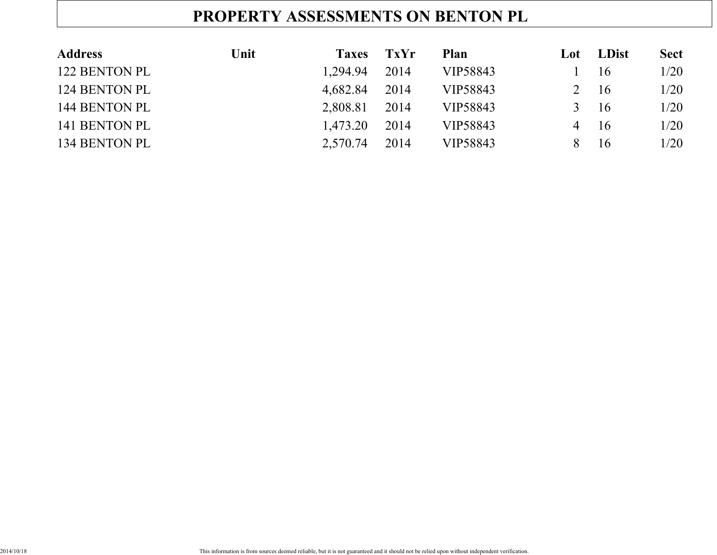# **PROPERTY ASSESSMENTS ON BENTON PL**

| <b>Address</b> | Unit | <b>Taxes</b> | <b>TxYr</b> | Plan     | Lot           | <b>LDist</b> | <b>Sect</b> |
|----------------|------|--------------|-------------|----------|---------------|--------------|-------------|
| 122 BENTON PL  |      | 1.294.94     | 2014        | VIP58843 |               | 16           | 1/20        |
| 124 BENTON PL  |      | 4,682.84     | 2014        | VIP58843 |               | 16           | 1/20        |
| 144 BENTON PL  |      | 2,808.81     | 2014        | VIP58843 | $\mathcal{R}$ | 16           | 1/20        |
| 141 BENTON PL  |      | 1.473.20     | 2014        | VIP58843 | 4             | 16           | 1/20        |
| 134 BENTON PL  |      | 2,570.74     | 2014        | VIP58843 | 8             | 16           | 1/20        |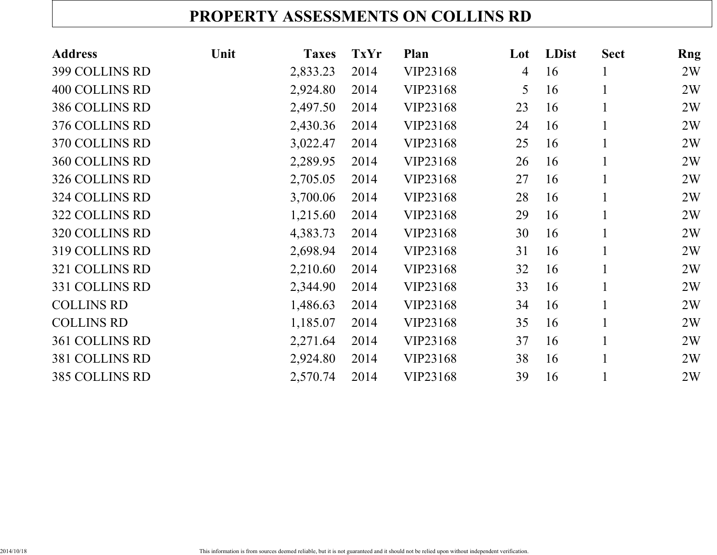### **PROPERTY ASSESSMENTS ON COLLINS RD**

| <b>Address</b>        | Unit | <b>Taxes</b> | <b>TxYr</b> | Plan     | Lot            | <b>LDist</b> | <b>Sect</b>  | Rng |
|-----------------------|------|--------------|-------------|----------|----------------|--------------|--------------|-----|
| 399 COLLINS RD        |      | 2,833.23     | 2014        | VIP23168 | $\overline{4}$ | 16           |              | 2W  |
| <b>400 COLLINS RD</b> |      | 2,924.80     | 2014        | VIP23168 | 5              | 16           | 1            | 2W  |
| 386 COLLINS RD        |      | 2,497.50     | 2014        | VIP23168 | 23             | 16           | $\mathbf 1$  | 2W  |
| 376 COLLINS RD        |      | 2,430.36     | 2014        | VIP23168 | 24             | 16           | $\mathbf{1}$ | 2W  |
| 370 COLLINS RD        |      | 3,022.47     | 2014        | VIP23168 | 25             | 16           |              | 2W  |
| <b>360 COLLINS RD</b> |      | 2,289.95     | 2014        | VIP23168 | 26             | 16           |              | 2W  |
| 326 COLLINS RD        |      | 2,705.05     | 2014        | VIP23168 | 27             | 16           |              | 2W  |
| 324 COLLINS RD        |      | 3,700.06     | 2014        | VIP23168 | 28             | 16           |              | 2W  |
| 322 COLLINS RD        |      | 1,215.60     | 2014        | VIP23168 | 29             | 16           |              | 2W  |
| 320 COLLINS RD        |      | 4,383.73     | 2014        | VIP23168 | 30             | 16           |              | 2W  |
| 319 COLLINS RD        |      | 2,698.94     | 2014        | VIP23168 | 31             | 16           |              | 2W  |
| 321 COLLINS RD        |      | 2,210.60     | 2014        | VIP23168 | 32             | 16           |              | 2W  |
| 331 COLLINS RD        |      | 2,344.90     | 2014        | VIP23168 | 33             | 16           |              | 2W  |
| <b>COLLINS RD</b>     |      | 1,486.63     | 2014        | VIP23168 | 34             | 16           |              | 2W  |
| <b>COLLINS RD</b>     |      | 1,185.07     | 2014        | VIP23168 | 35             | 16           | 1            | 2W  |
| <b>361 COLLINS RD</b> |      | 2,271.64     | 2014        | VIP23168 | 37             | 16           |              | 2W  |
| 381 COLLINS RD        |      | 2,924.80     | 2014        | VIP23168 | 38             | 16           |              | 2W  |
| 385 COLLINS RD        |      | 2,570.74     | 2014        | VIP23168 | 39             | 16           |              | 2W  |
|                       |      |              |             |          |                |              |              |     |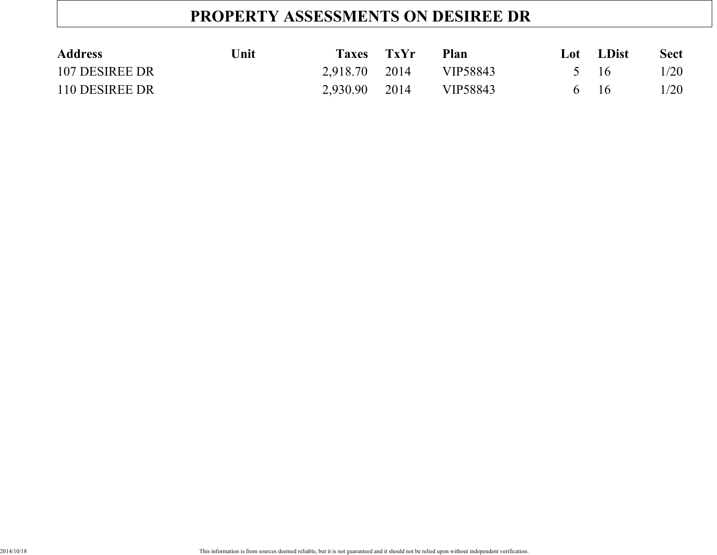# **PROPERTY ASSESSMENTS ON DESIREE DR**

| <b>Address</b> | Unit | <b>Taxes</b>  | <b>TxYr</b> | Plan     | Lot  | <b>LDist</b> | <b>Sect</b> |
|----------------|------|---------------|-------------|----------|------|--------------|-------------|
| 107 DESIREE DR |      | 2,918.70 2014 |             | VIP58843 | 5 16 |              | 1/20        |
| 110 DESIREE DR |      | 2,930.90      | 2014        | VIP58843 | 6 16 |              | 1/20        |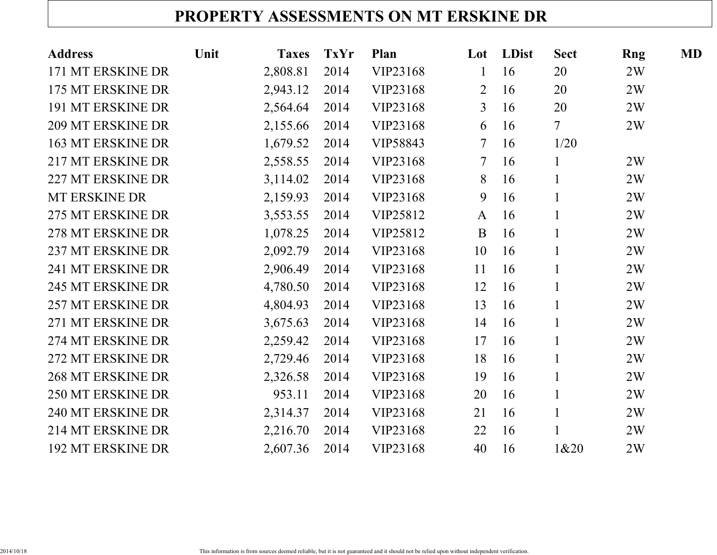# **PROPERTY ASSESSMENTS ON MT ERSKINE DR**

| <b>Address</b>           | Unit | <b>Taxes</b> | <b>TxYr</b> | <b>Plan</b> | Lot            | LDist | <b>Sect</b>    | Rng | <b>MD</b> |
|--------------------------|------|--------------|-------------|-------------|----------------|-------|----------------|-----|-----------|
| 171 MT ERSKINE DR        |      | 2,808.81     | 2014        | VIP23168    | $\mathbf 1$    | 16    | 20             | 2W  |           |
| 175 MT ERSKINE DR        |      | 2,943.12     | 2014        | VIP23168    | $\overline{2}$ | 16    | 20             | 2W  |           |
| <b>191 MT ERSKINE DR</b> |      | 2,564.64     | 2014        | VIP23168    | $\overline{3}$ | 16    | 20             | 2W  |           |
| <b>209 MT ERSKINE DR</b> |      | 2,155.66     | 2014        | VIP23168    | 6              | 16    | $\overline{7}$ | 2W  |           |
| 163 MT ERSKINE DR        |      | 1,679.52     | 2014        | VIP58843    | $\overline{7}$ | 16    | 1/20           |     |           |
| 217 MT ERSKINE DR        |      | 2,558.55     | 2014        | VIP23168    | $\tau$         | 16    | $\mathbf{1}$   | 2W  |           |
| 227 MT ERSKINE DR        |      | 3,114.02     | 2014        | VIP23168    | 8              | 16    | $\mathbf{1}$   | 2W  |           |
| MT ERSKINE DR            |      | 2,159.93     | 2014        | VIP23168    | 9              | 16    | $\mathbf{1}$   | 2W  |           |
| 275 MT ERSKINE DR        |      | 3,553.55     | 2014        | VIP25812    | $\mathbf{A}$   | 16    | $\mathbf{1}$   | 2W  |           |
| 278 MT ERSKINE DR        |      | 1,078.25     | 2014        | VIP25812    | B              | 16    | $\mathbf{1}$   | 2W  |           |
| 237 MT ERSKINE DR        |      | 2,092.79     | 2014        | VIP23168    | 10             | 16    | $\mathbf{1}$   | 2W  |           |
| 241 MT ERSKINE DR        |      | 2,906.49     | 2014        | VIP23168    | 11             | 16    | $\mathbf{1}$   | 2W  |           |
| <b>245 MT ERSKINE DR</b> |      | 4,780.50     | 2014        | VIP23168    | 12             | 16    | $\mathbf{1}$   | 2W  |           |
| <b>257 MT ERSKINE DR</b> |      | 4,804.93     | 2014        | VIP23168    | 13             | 16    | $\mathbf{1}$   | 2W  |           |
| 271 MT ERSKINE DR        |      | 3,675.63     | 2014        | VIP23168    | 14             | 16    | $\mathbf{1}$   | 2W  |           |
| 274 MT ERSKINE DR        |      | 2,259.42     | 2014        | VIP23168    | 17             | 16    | $\mathbf{1}$   | 2W  |           |
| 272 MT ERSKINE DR        |      | 2,729.46     | 2014        | VIP23168    | 18             | 16    | $\mathbf{1}$   | 2W  |           |
| <b>268 MT ERSKINE DR</b> |      | 2,326.58     | 2014        | VIP23168    | 19             | 16    | $\mathbf{1}$   | 2W  |           |
| <b>250 MT ERSKINE DR</b> |      | 953.11       | 2014        | VIP23168    | 20             | 16    | $\mathbf{1}$   | 2W  |           |
| 240 MT ERSKINE DR        |      | 2,314.37     | 2014        | VIP23168    | 21             | 16    | $\mathbf{1}$   | 2W  |           |
| 214 MT ERSKINE DR        |      | 2,216.70     | 2014        | VIP23168    | 22             | 16    | $\mathbf{1}$   | 2W  |           |
| <b>192 MT ERSKINE DR</b> |      | 2,607.36     | 2014        | VIP23168    | 40             | 16    | 1&20           | 2W  |           |
|                          |      |              |             |             |                |       |                |     |           |